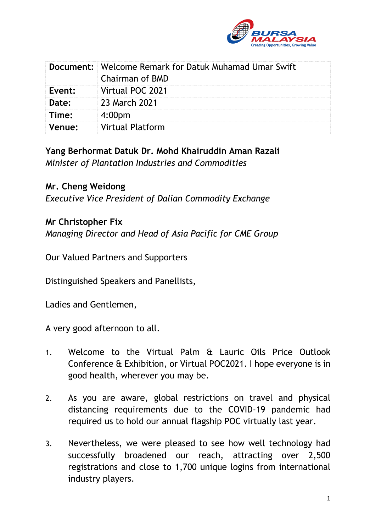

|        | <b>Document:</b> Welcome Remark for Datuk Muhamad Umar Swift<br><b>Chairman of BMD</b> |
|--------|----------------------------------------------------------------------------------------|
| Event: | Virtual POC 2021                                                                       |
| Date:  | 23 March 2021                                                                          |
| Time:  | 4:00 <sub>pm</sub>                                                                     |
| Venue: | <b>Virtual Platform</b>                                                                |

**Yang Berhormat Datuk Dr. Mohd Khairuddin Aman Razali** *Minister of Plantation Industries and Commodities*

## **Mr. Cheng Weidong**

*Executive Vice President of Dalian Commodity Exchange*

## **Mr Christopher Fix**

*Managing Director and Head of Asia Pacific for CME Group*

Our Valued Partners and Supporters

Distinguished Speakers and Panellists,

Ladies and Gentlemen,

A very good afternoon to all.

- 1. Welcome to the Virtual Palm & Lauric Oils Price Outlook Conference & Exhibition, or Virtual POC2021. I hope everyone is in good health, wherever you may be.
- 2. As you are aware, global restrictions on travel and physical distancing requirements due to the COVID-19 pandemic had required us to hold our annual flagship POC virtually last year.
- 3. Nevertheless, we were pleased to see how well technology had successfully broadened our reach, attracting over 2,500 registrations and close to 1,700 unique logins from international industry players.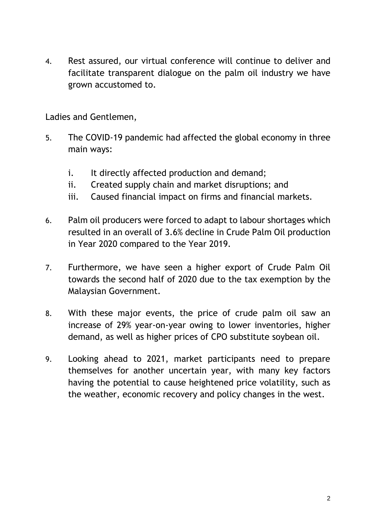4. Rest assured, our virtual conference will continue to deliver and facilitate transparent dialogue on the palm oil industry we have grown accustomed to.

Ladies and Gentlemen,

- 5. The COVID-19 pandemic had affected the global economy in three main ways:
	- i. It directly affected production and demand;
	- ii. Created supply chain and market disruptions; and
	- iii. Caused financial impact on firms and financial markets.
- 6. Palm oil producers were forced to adapt to labour shortages which resulted in an overall of 3.6% decline in Crude Palm Oil production in Year 2020 compared to the Year 2019.
- 7. Furthermore, we have seen a higher export of Crude Palm Oil towards the second half of 2020 due to the tax exemption by the Malaysian Government.
- 8. With these major events, the price of crude palm oil saw an increase of 29% year-on-year owing to lower inventories, higher demand, as well as higher prices of CPO substitute soybean oil.
- 9. Looking ahead to 2021, market participants need to prepare themselves for another uncertain year, with many key factors having the potential to cause heightened price volatility, such as the weather, economic recovery and policy changes in the west.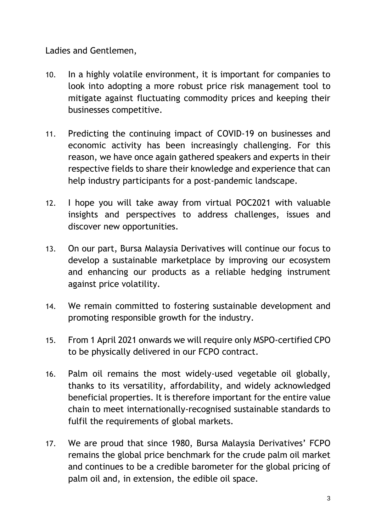Ladies and Gentlemen,

- 10. In a highly volatile environment, it is important for companies to look into adopting a more robust price risk management tool to mitigate against fluctuating commodity prices and keeping their businesses competitive.
- 11. Predicting the continuing impact of COVID-19 on businesses and economic activity has been increasingly challenging. For this reason, we have once again gathered speakers and experts in their respective fields to share their knowledge and experience that can help industry participants for a post-pandemic landscape.
- 12. I hope you will take away from virtual POC2021 with valuable insights and perspectives to address challenges, issues and discover new opportunities.
- 13. On our part, Bursa Malaysia Derivatives will continue our focus to develop a sustainable marketplace by improving our ecosystem and enhancing our products as a reliable hedging instrument against price volatility.
- 14. We remain committed to fostering sustainable development and promoting responsible growth for the industry.
- 15. From 1 April 2021 onwards we will require only MSPO-certified CPO to be physically delivered in our FCPO contract.
- 16. Palm oil remains the most widely-used vegetable oil globally, thanks to its versatility, affordability, and widely acknowledged beneficial properties. It is therefore important for the entire value chain to meet internationally-recognised sustainable standards to fulfil the requirements of global markets.
- 17. We are proud that since 1980, Bursa Malaysia Derivatives' FCPO remains the global price benchmark for the crude palm oil market and continues to be a credible barometer for the global pricing of palm oil and, in extension, the edible oil space.